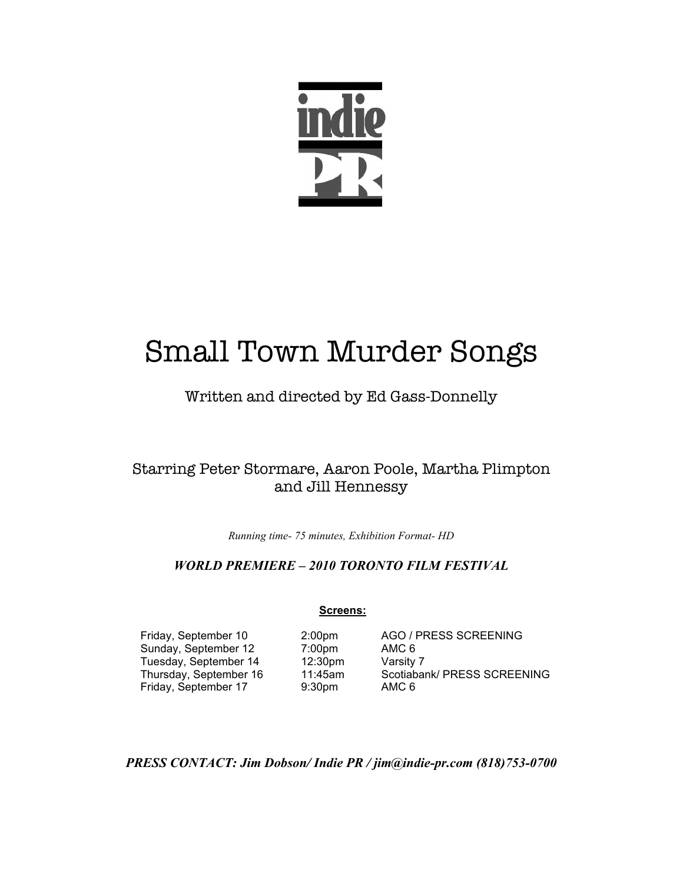

# Small Town Murder Songs

# Written and directed by Ed Gass-Donnelly

# Starring Peter Stormare, Aaron Poole, Martha Plimpton and Jill Hennessy

*Running time- 75 minutes, Exhibition Format- HD*

# *WORLD PREMIERE – 2010 TORONTO FILM FESTIVAL*

# **Screens:**

Sunday, September 12 7:00pm AMC 6 Tuesday, September 14 12:30pm Varsity 7 Friday, September 17

Friday, September 10 2:00pm AGO / PRESS SCREENING Thursday, September 16 11:45am Scotiabank/ PRESS SCREENING<br>
Friday, September 17 9:30pm AMC 6

*PRESS CONTACT: Jim Dobson/ Indie PR / jim@indie-pr.com (818)753-0700*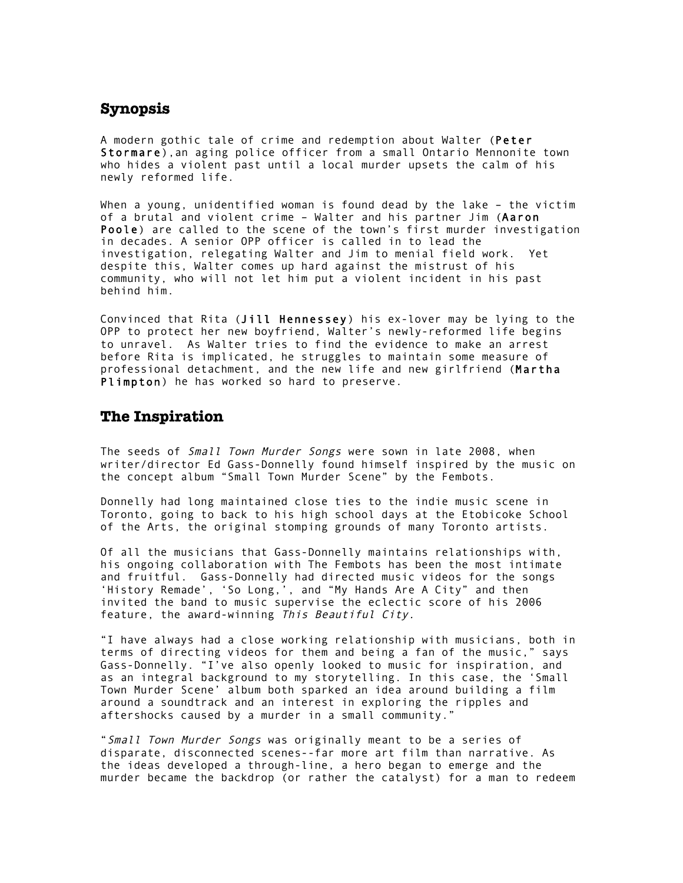# **Synopsis**

A modern gothic tale of crime and redemption about Walter (Peter Stormare),an aging police officer from a small Ontario Mennonite town who hides a violent past until a local murder upsets the calm of his newly reformed life.

When a young, unidentified woman is found dead by the lake – the victim of a brutal and violent crime – Walter and his partner Jim (Aaron Poole) are called to the scene of the town's first murder investigation in decades. A senior OPP officer is called in to lead the investigation, relegating Walter and Jim to menial field work. Yet despite this, Walter comes up hard against the mistrust of his community, who will not let him put a violent incident in his past behind him.

Convinced that Rita (Jill Hennessey) his ex-lover may be lying to the OPP to protect her new boyfriend, Walter's newly-reformed life begins to unravel. As Walter tries to find the evidence to make an arrest before Rita is implicated, he struggles to maintain some measure of professional detachment, and the new life and new girlfriend (Martha Plimpton) he has worked so hard to preserve.

### **The Inspiration**

The seeds of Small Town Murder Songs were sown in late 2008, when writer/director Ed Gass-Donnelly found himself inspired by the music on the concept album "Small Town Murder Scene" by the Fembots.

Donnelly had long maintained close ties to the indie music scene in Toronto, going to back to his high school days at the Etobicoke School of the Arts, the original stomping grounds of many Toronto artists.

Of all the musicians that Gass-Donnelly maintains relationships with, his ongoing collaboration with The Fembots has been the most intimate and fruitful. Gass-Donnelly had directed music videos for the songs 'History Remade', 'So Long,', and "My Hands Are A City" and then invited the band to music supervise the eclectic score of his 2006 feature, the award-winning This Beautiful City.

"I have always had a close working relationship with musicians, both in terms of directing videos for them and being a fan of the music," says Gass-Donnelly. "I've also openly looked to music for inspiration, and as an integral background to my storytelling. In this case, the 'Small Town Murder Scene' album both sparked an idea around building a film around a soundtrack and an interest in exploring the ripples and aftershocks caused by a murder in a small community."

"Small Town Murder Songs was originally meant to be a series of disparate, disconnected scenes--far more art film than narrative. As the ideas developed a through-line, a hero began to emerge and the murder became the backdrop (or rather the catalyst) for a man to redeem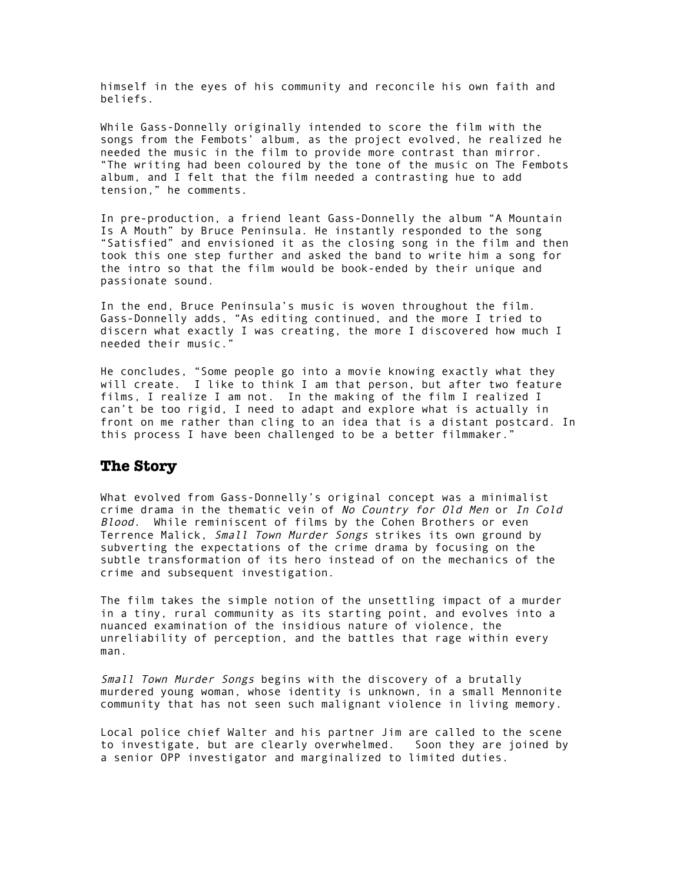himself in the eyes of his community and reconcile his own faith and beliefs.

While Gass-Donnelly originally intended to score the film with the songs from the Fembots' album, as the project evolved, he realized he needed the music in the film to provide more contrast than mirror. "The writing had been coloured by the tone of the music on The Fembots album, and I felt that the film needed a contrasting hue to add tension," he comments.

In pre-production, a friend leant Gass-Donnelly the album "A Mountain Is A Mouth" by Bruce Peninsula. He instantly responded to the song "Satisfied" and envisioned it as the closing song in the film and then took this one step further and asked the band to write him a song for the intro so that the film would be book-ended by their unique and passionate sound.

In the end, Bruce Peninsula's music is woven throughout the film. Gass-Donnelly adds, "As editing continued, and the more I tried to discern what exactly I was creating, the more I discovered how much I needed their music."

He concludes, "Some people go into a movie knowing exactly what they will create. I like to think I am that person, but after two feature films, I realize I am not. In the making of the film I realized I can't be too rigid, I need to adapt and explore what is actually in front on me rather than cling to an idea that is a distant postcard. In this process I have been challenged to be a better filmmaker."

#### **The Story**

What evolved from Gass-Donnelly's original concept was a minimalist crime drama in the thematic vein of No Country for Old Men or In Cold Blood. While reminiscent of films by the Cohen Brothers or even Terrence Malick, Small Town Murder Songs strikes its own ground by subverting the expectations of the crime drama by focusing on the subtle transformation of its hero instead of on the mechanics of the crime and subsequent investigation.

The film takes the simple notion of the unsettling impact of a murder in a tiny, rural community as its starting point, and evolves into a nuanced examination of the insidious nature of violence, the unreliability of perception, and the battles that rage within every man.

Small Town Murder Songs begins with the discovery of a brutally murdered young woman, whose identity is unknown, in a small Mennonite community that has not seen such malignant violence in living memory.

Local police chief Walter and his partner Jim are called to the scene to investigate, but are clearly overwhelmed. Soon they are joined by a senior OPP investigator and marginalized to limited duties.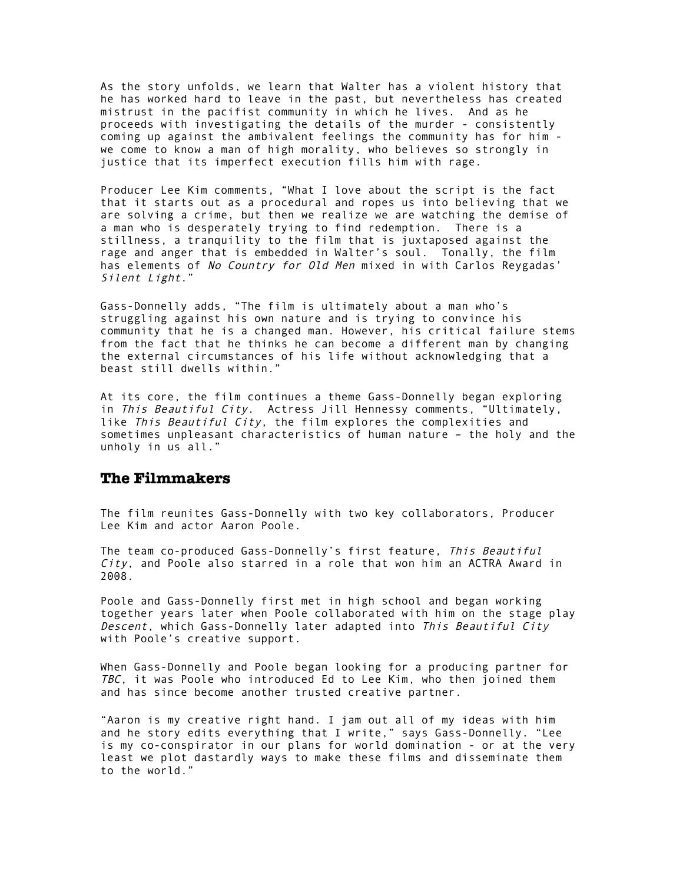As the story unfolds, we learn that Walter has a violent history that he has worked hard to leave in the past, but nevertheless has created mistrust in the pacifist community in which he lives. And as he proceeds with investigating the details of the murder - consistently coming up against the ambivalent feelings the community has for him we come to know a man of high morality, who believes so strongly in justice that its imperfect execution fills him with rage.

Producer Lee Kim comments, "What I love about the script is the fact that it starts out as a procedural and ropes us into believing that we are solving a crime, but then we realize we are watching the demise of a man who is desperately trying to find redemption. There is a stillness, a tranquility to the film that is juxtaposed against the rage and anger that is embedded in Walter's soul. Tonally, the film has elements of No Country for Old Men mixed in with Carlos Reygadas' Silent Light."

Gass-Donnelly adds, "The film is ultimately about a man who's struggling against his own nature and is trying to convince his community that he is a changed man. However, his critical failure stems from the fact that he thinks he can become a different man by changing the external circumstances of his life without acknowledging that a beast still dwells within."

At its core, the film continues a theme Gass-Donnelly began exploring in This Beautiful City. Actress Jill Hennessy comments, "Ultimately, like This Beautiful City, the film explores the complexities and sometimes unpleasant characteristics of human nature – the holy and the unholy in us all."

## **The Filmmakers**

The film reunites Gass-Donnelly with two key collaborators, Producer Lee Kim and actor Aaron Poole.

The team co-produced Gass-Donnelly's first feature, This Beautiful  $City$ , and Poole also starred in a role that won him an ACTRA Award in 2008.

Poole and Gass-Donnelly first met in high school and began working together years later when Poole collaborated with him on the stage play Descent, which Gass-Donnelly later adapted into This Beautiful City with Poole's creative support.

When Gass-Donnelly and Poole began looking for a producing partner for TBC, it was Poole who introduced Ed to Lee Kim, who then joined them and has since become another trusted creative partner.

"Aaron is my creative right hand. I jam out all of my ideas with him and he story edits everything that I write," says Gass-Donnelly. "Lee is my co-conspirator in our plans for world domination - or at the very least we plot dastardly ways to make these films and disseminate them to the world."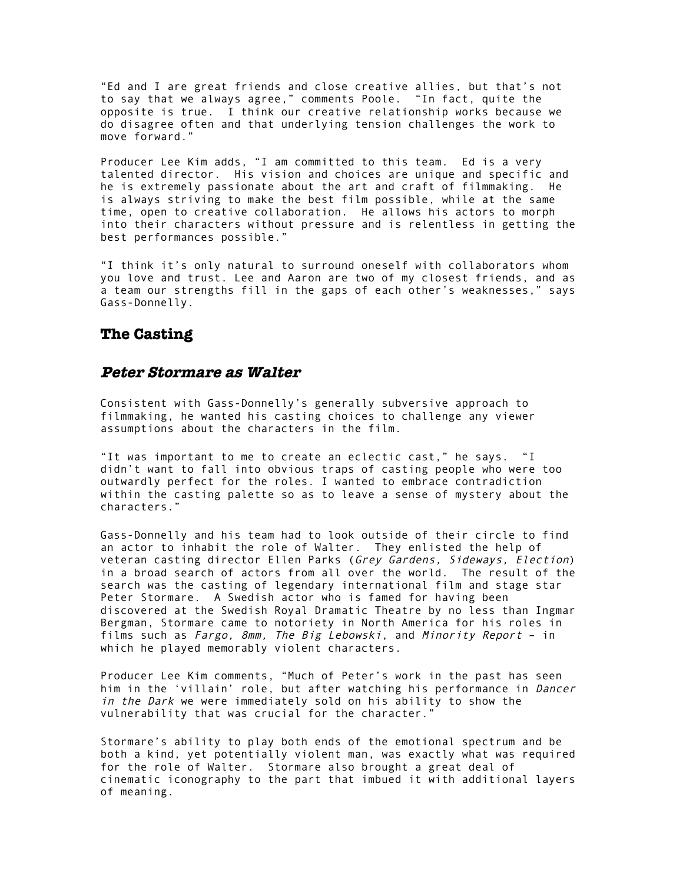"Ed and I are great friends and close creative allies, but that's not to say that we always agree," comments Poole. "In fact, quite the opposite is true. I think our creative relationship works because we do disagree often and that underlying tension challenges the work to move forward."

Producer Lee Kim adds, "I am committed to this team. Ed is a very talented director. His vision and choices are unique and specific and he is extremely passionate about the art and craft of filmmaking. He is always striving to make the best film possible, while at the same time, open to creative collaboration. He allows his actors to morph into their characters without pressure and is relentless in getting the best performances possible."

"I think it's only natural to surround oneself with collaborators whom you love and trust. Lee and Aaron are two of my closest friends, and as a team our strengths fill in the gaps of each other's weaknesses," says Gass-Donnelly.

#### **The Casting**

# **Peter Stormare as Walter**

Consistent with Gass-Donnelly's generally subversive approach to filmmaking, he wanted his casting choices to challenge any viewer assumptions about the characters in the film.

"It was important to me to create an eclectic cast," he says. "I didn't want to fall into obvious traps of casting people who were too outwardly perfect for the roles. I wanted to embrace contradiction within the casting palette so as to leave a sense of mystery about the characters."

Gass-Donnelly and his team had to look outside of their circle to find an actor to inhabit the role of Walter. They enlisted the help of veteran casting director Ellen Parks (Grey Gardens, Sideways, Election) in a broad search of actors from all over the world. The result of the search was the casting of legendary international film and stage star Peter Stormare. A Swedish actor who is famed for having been discovered at the Swedish Royal Dramatic Theatre by no less than Ingmar Bergman, Stormare came to notoriety in North America for his roles in films such as Fargo, 8mm, The Big Lebowski, and Minority Report – in which he played memorably violent characters.

Producer Lee Kim comments, "Much of Peter's work in the past has seen him in the 'villain' role, but after watching his performance in *Dancer* in the Dark we were immediately sold on his ability to show the vulnerability that was crucial for the character."

Stormare's ability to play both ends of the emotional spectrum and be both a kind, yet potentially violent man, was exactly what was required for the role of Walter. Stormare also brought a great deal of cinematic iconography to the part that imbued it with additional layers of meaning.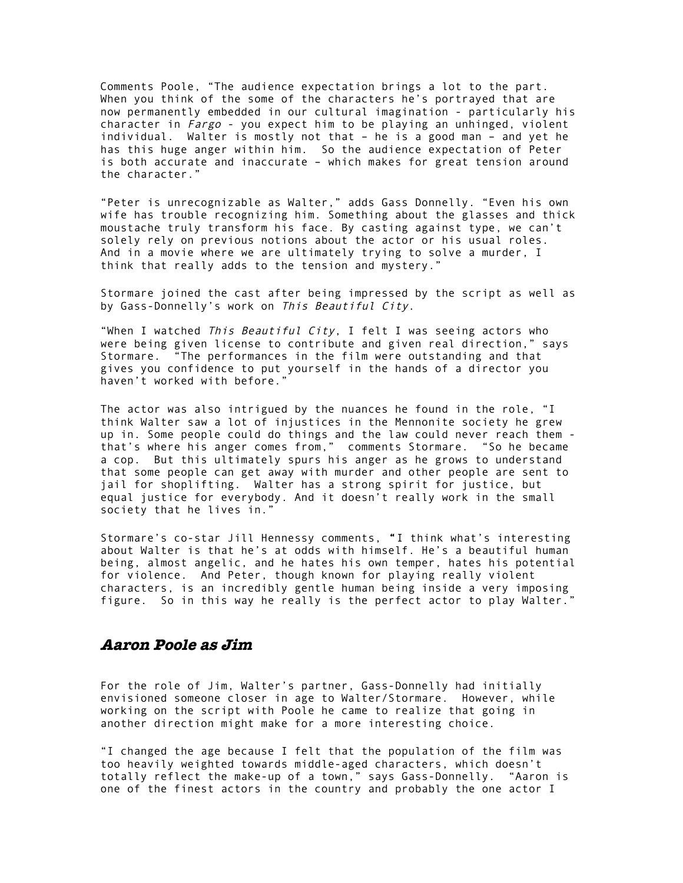Comments Poole, "The audience expectation brings a lot to the part. When you think of the some of the characters he's portrayed that are now permanently embedded in our cultural imagination - particularly his character in Fargo - you expect him to be playing an unhinged, violent individual. Walter is mostly not that – he is a good man – and yet he has this huge anger within him. So the audience expectation of Peter is both accurate and inaccurate – which makes for great tension around the character."

"Peter is unrecognizable as Walter," adds Gass Donnelly. "Even his own wife has trouble recognizing him. Something about the glasses and thick moustache truly transform his face. By casting against type, we can't solely rely on previous notions about the actor or his usual roles. And in a movie where we are ultimately trying to solve a murder, I think that really adds to the tension and mystery."

Stormare joined the cast after being impressed by the script as well as by Gass-Donnelly's work on This Beautiful City.

"When I watched This Beautiful City, I felt I was seeing actors who were being given license to contribute and given real direction," says Stormare. "The performances in the film were outstanding and that gives you confidence to put yourself in the hands of a director you haven't worked with before."

The actor was also intrigued by the nuances he found in the role, "I think Walter saw a lot of injustices in the Mennonite society he grew up in. Some people could do things and the law could never reach them that's where his anger comes from," comments Stormare. "So he became a cop. But this ultimately spurs his anger as he grows to understand that some people can get away with murder and other people are sent to jail for shoplifting. Walter has a strong spirit for justice, but equal justice for everybody. And it doesn't really work in the small society that he lives in."

Stormare's co-star Jill Hennessy comments, "I think what's interesting about Walter is that he's at odds with himself. He's a beautiful human being, almost angelic, and he hates his own temper, hates his potential for violence. And Peter, though known for playing really violent characters, is an incredibly gentle human being inside a very imposing figure. So in this way he really is the perfect actor to play Walter."

# **Aaron Poole as Jim**

For the role of Jim, Walter's partner, Gass-Donnelly had initially envisioned someone closer in age to Walter/Stormare. However, while working on the script with Poole he came to realize that going in another direction might make for a more interesting choice.

"I changed the age because I felt that the population of the film was too heavily weighted towards middle-aged characters, which doesn't totally reflect the make-up of a town," says Gass-Donnelly. "Aaron is one of the finest actors in the country and probably the one actor I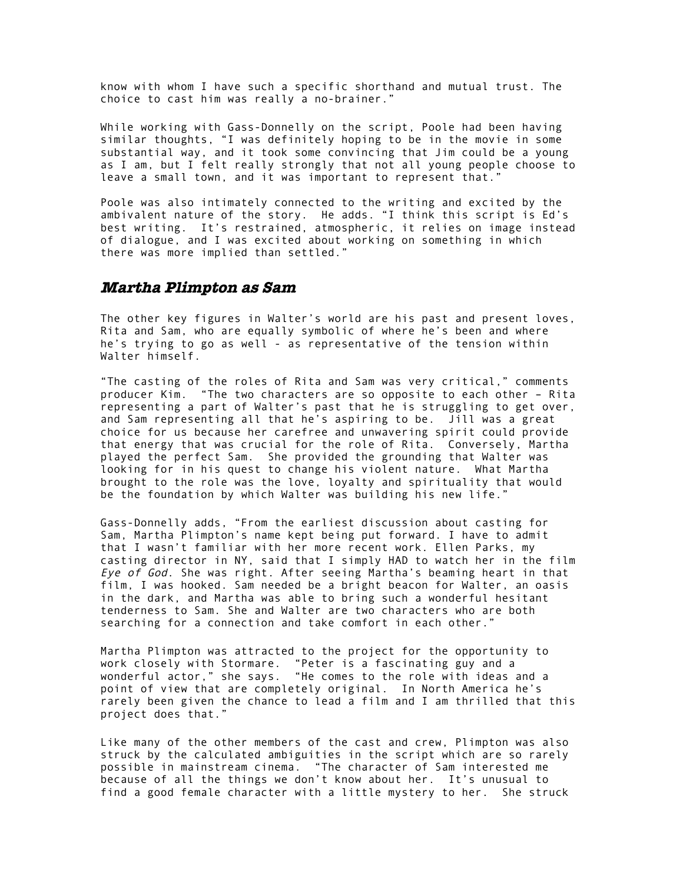know with whom I have such a specific shorthand and mutual trust. The choice to cast him was really a no-brainer."

While working with Gass-Donnelly on the script, Poole had been having similar thoughts, "I was definitely hoping to be in the movie in some substantial way, and it took some convincing that Jim could be a young as I am, but I felt really strongly that not all young people choose to leave a small town, and it was important to represent that."

Poole was also intimately connected to the writing and excited by the ambivalent nature of the story. He adds. "I think this script is Ed's best writing. It's restrained, atmospheric, it relies on image instead of dialogue, and I was excited about working on something in which there was more implied than settled."

#### **Martha Plimpton as Sam**

The other key figures in Walter's world are his past and present loves, Rita and Sam, who are equally symbolic of where he's been and where he's trying to go as well - as representative of the tension within Walter himself.

"The casting of the roles of Rita and Sam was very critical," comments producer Kim. "The two characters are so opposite to each other – Rita representing a part of Walter's past that he is struggling to get over, and Sam representing all that he's aspiring to be. Jill was a great choice for us because her carefree and unwavering spirit could provide that energy that was crucial for the role of Rita. Conversely, Martha played the perfect Sam. She provided the grounding that Walter was looking for in his quest to change his violent nature. What Martha brought to the role was the love, loyalty and spirituality that would be the foundation by which Walter was building his new life."

Gass-Donnelly adds, "From the earliest discussion about casting for Sam, Martha Plimpton's name kept being put forward. I have to admit that I wasn't familiar with her more recent work. Ellen Parks, my casting director in NY, said that I simply HAD to watch her in the film Eye of God. She was right. After seeing Martha's beaming heart in that film, I was hooked. Sam needed be a bright beacon for Walter, an oasis in the dark, and Martha was able to bring such a wonderful hesitant tenderness to Sam. She and Walter are two characters who are both searching for a connection and take comfort in each other."

Martha Plimpton was attracted to the project for the opportunity to work closely with Stormare. "Peter is a fascinating guy and a wonderful actor," she says. "He comes to the role with ideas and a point of view that are completely original. In North America he's rarely been given the chance to lead a film and I am thrilled that this project does that."

Like many of the other members of the cast and crew, Plimpton was also struck by the calculated ambiguities in the script which are so rarely possible in mainstream cinema. "The character of Sam interested me because of all the things we don't know about her. It's unusual to find a good female character with a little mystery to her. She struck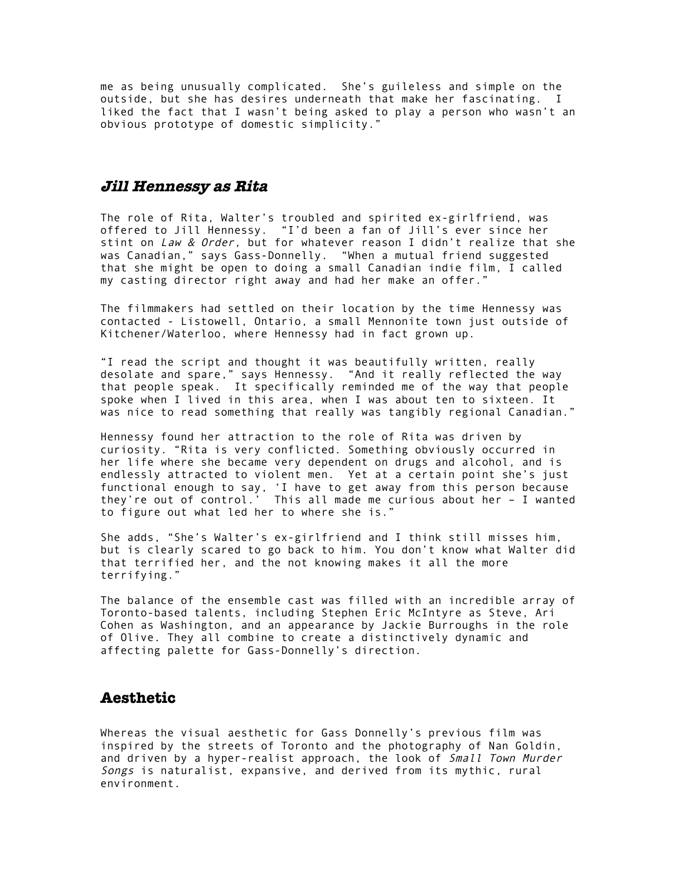me as being unusually complicated. She's guileless and simple on the outside, but she has desires underneath that make her fascinating. I liked the fact that I wasn't being asked to play a person who wasn't an obvious prototype of domestic simplicity."

#### **Jill Hennessy as Rita**

The role of Rita, Walter's troubled and spirited ex-girlfriend, was offered to Jill Hennessy. "I'd been a fan of Jill's ever since her stint on Law & Order, but for whatever reason I didn't realize that she was Canadian," says Gass-Donnelly. "When a mutual friend suggested that she might be open to doing a small Canadian indie film, I called my casting director right away and had her make an offer."

The filmmakers had settled on their location by the time Hennessy was contacted - Listowell, Ontario, a small Mennonite town just outside of Kitchener/Waterloo, where Hennessy had in fact grown up.

"I read the script and thought it was beautifully written, really desolate and spare," says Hennessy. "And it really reflected the way that people speak. It specifically reminded me of the way that people spoke when I lived in this area, when I was about ten to sixteen. It was nice to read something that really was tangibly regional Canadian."

Hennessy found her attraction to the role of Rita was driven by curiosity. "Rita is very conflicted. Something obviously occurred in her life where she became very dependent on drugs and alcohol, and is endlessly attracted to violent men. Yet at a certain point she's just functional enough to say, 'I have to get away from this person because they're out of control.' This all made me curious about her – I wanted to figure out what led her to where she is."

She adds, "She's Walter's ex-girlfriend and I think still misses him, but is clearly scared to go back to him. You don't know what Walter did that terrified her, and the not knowing makes it all the more terrifying."

The balance of the ensemble cast was filled with an incredible array of Toronto-based talents, including Stephen Eric McIntyre as Steve, Ari Cohen as Washington, and an appearance by Jackie Burroughs in the role of Olive. They all combine to create a distinctively dynamic and affecting palette for Gass-Donnelly's direction.

# **Aesthetic**

Whereas the visual aesthetic for Gass Donnelly's previous film was inspired by the streets of Toronto and the photography of Nan Goldin, and driven by a hyper-realist approach, the look of Small Town Murder Songs is naturalist, expansive, and derived from its mythic, rural environment.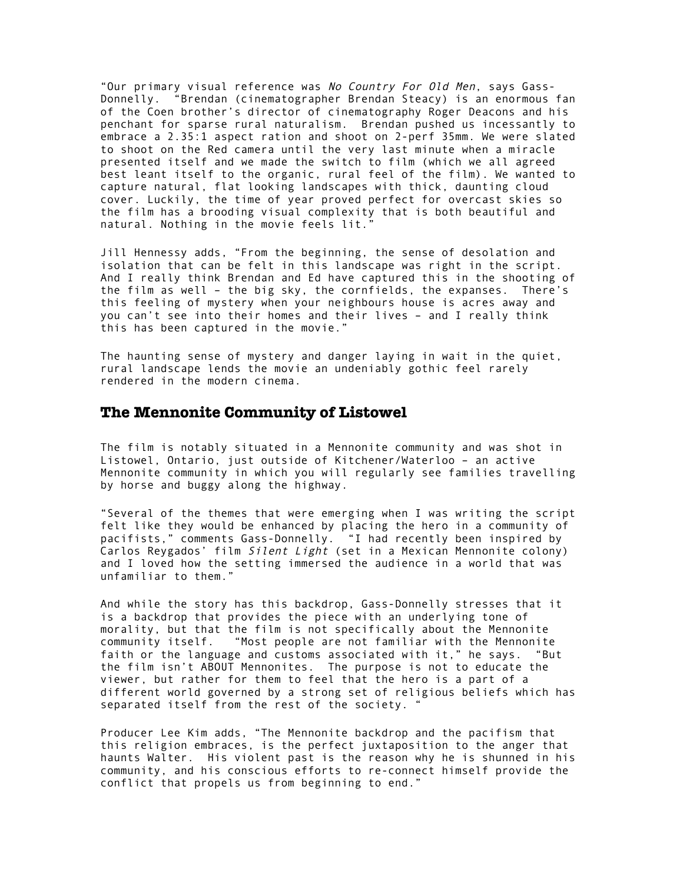"Our primary visual reference was No Country For Old Men, says Gass-Donnelly. "Brendan (cinematographer Brendan Steacy) is an enormous fan of the Coen brother's director of cinematography Roger Deacons and his penchant for sparse rural naturalism. Brendan pushed us incessantly to embrace a 2.35:1 aspect ration and shoot on 2-perf 35mm. We were slated to shoot on the Red camera until the very last minute when a miracle presented itself and we made the switch to film (which we all agreed best leant itself to the organic, rural feel of the film). We wanted to capture natural, flat looking landscapes with thick, daunting cloud cover. Luckily, the time of year proved perfect for overcast skies so the film has a brooding visual complexity that is both beautiful and natural. Nothing in the movie feels lit."

Jill Hennessy adds, "From the beginning, the sense of desolation and isolation that can be felt in this landscape was right in the script. And I really think Brendan and Ed have captured this in the shooting of the film as well – the big sky, the cornfields, the expanses. There's this feeling of mystery when your neighbours house is acres away and you can't see into their homes and their lives – and I really think this has been captured in the movie."

The haunting sense of mystery and danger laying in wait in the quiet, rural landscape lends the movie an undeniably gothic feel rarely rendered in the modern cinema.

#### **The Mennonite Community of Listowel**

The film is notably situated in a Mennonite community and was shot in Listowel, Ontario, just outside of Kitchener/Waterloo – an active Mennonite community in which you will regularly see families travelling by horse and buggy along the highway.

"Several of the themes that were emerging when I was writing the script felt like they would be enhanced by placing the hero in a community of pacifists," comments Gass-Donnelly. "I had recently been inspired by Carlos Reygados' film Silent Light (set in a Mexican Mennonite colony) and I loved how the setting immersed the audience in a world that was unfamiliar to them."

And while the story has this backdrop, Gass-Donnelly stresses that it is a backdrop that provides the piece with an underlying tone of morality, but that the film is not specifically about the Mennonite community itself. "Most people are not familiar with the Mennonite faith or the language and customs associated with it," he says. "But the film isn't ABOUT Mennonites. The purpose is not to educate the viewer, but rather for them to feel that the hero is a part of a different world governed by a strong set of religious beliefs which has separated itself from the rest of the society. "

Producer Lee Kim adds, "The Mennonite backdrop and the pacifism that this religion embraces, is the perfect juxtaposition to the anger that haunts Walter. His violent past is the reason why he is shunned in his community, and his conscious efforts to re-connect himself provide the conflict that propels us from beginning to end."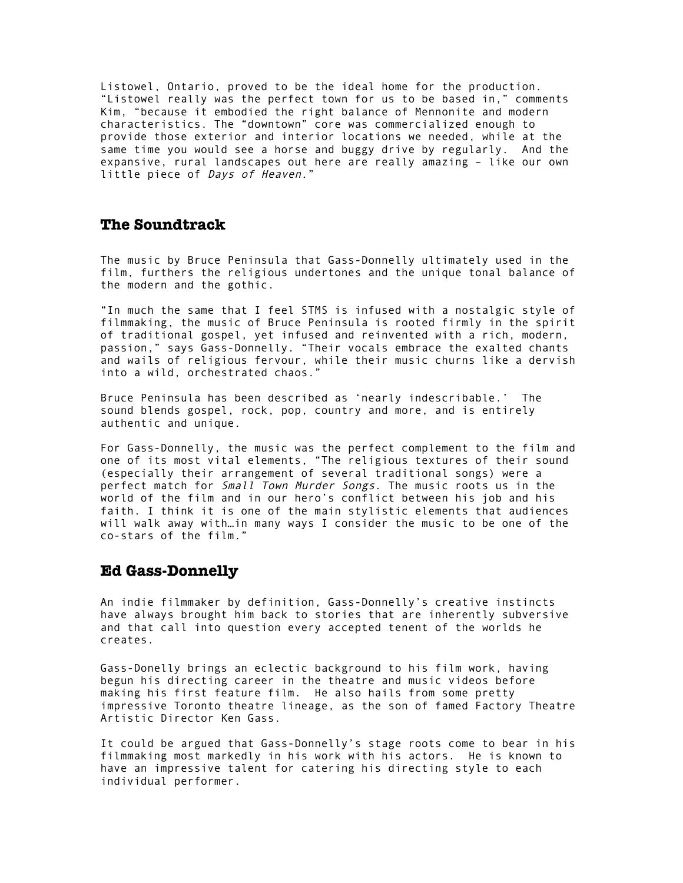Listowel, Ontario, proved to be the ideal home for the production. "Listowel really was the perfect town for us to be based in," comments Kim, "because it embodied the right balance of Mennonite and modern characteristics. The "downtown" core was commercialized enough to provide those exterior and interior locations we needed, while at the same time you would see a horse and buggy drive by regularly. And the expansive, rural landscapes out here are really amazing – like our own little piece of Days of Heaven."

#### **The Soundtrack**

The music by Bruce Peninsula that Gass-Donnelly ultimately used in the film, furthers the religious undertones and the unique tonal balance of the modern and the gothic.

"In much the same that I feel STMS is infused with a nostalgic style of filmmaking, the music of Bruce Peninsula is rooted firmly in the spirit of traditional gospel, yet infused and reinvented with a rich, modern, passion," says Gass-Donnelly. "Their vocals embrace the exalted chants and wails of religious fervour, while their music churns like a dervish into a wild, orchestrated chaos."

Bruce Peninsula has been described as 'nearly indescribable.' The sound blends gospel, rock, pop, country and more, and is entirely authentic and unique.

For Gass-Donnelly, the music was the perfect complement to the film and one of its most vital elements, "The religious textures of their sound (especially their arrangement of several traditional songs) were a perfect match for *Small Town Murder Songs*. The music roots us in the world of the film and in our hero's conflict between his job and his faith. I think it is one of the main stylistic elements that audiences will walk away with…in many ways I consider the music to be one of the co-stars of the film."

#### **Ed Gass-Donnelly**

An indie filmmaker by definition, Gass-Donnelly's creative instincts have always brought him back to stories that are inherently subversive and that call into question every accepted tenent of the worlds he creates.

Gass-Donelly brings an eclectic background to his film work, having begun his directing career in the theatre and music videos before making his first feature film. He also hails from some pretty impressive Toronto theatre lineage, as the son of famed Factory Theatre Artistic Director Ken Gass.

It could be argued that Gass-Donnelly's stage roots come to bear in his filmmaking most markedly in his work with his actors. He is known to have an impressive talent for catering his directing style to each individual performer.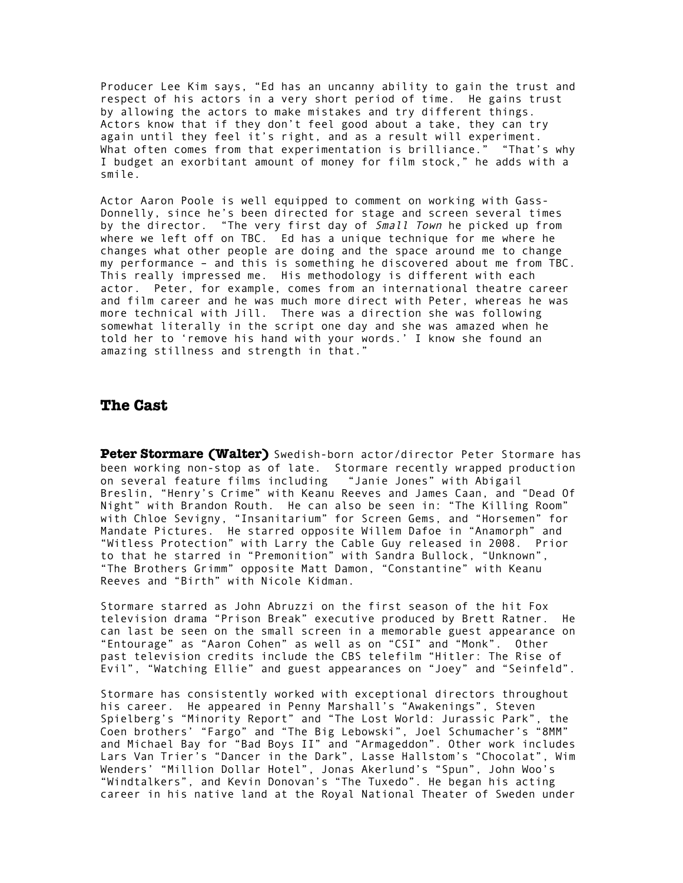Producer Lee Kim says, "Ed has an uncanny ability to gain the trust and respect of his actors in a very short period of time. He gains trust by allowing the actors to make mistakes and try different things. Actors know that if they don't feel good about a take, they can try again until they feel it's right, and as a result will experiment. What often comes from that experimentation is brilliance." "That's why I budget an exorbitant amount of money for film stock," he adds with a smile.

Actor Aaron Poole is well equipped to comment on working with Gass-Donnelly, since he's been directed for stage and screen several times by the director. "The very first day of Small Town he picked up from where we left off on TBC. Ed has a unique technique for me where he changes what other people are doing and the space around me to change my performance – and this is something he discovered about me from TBC. This really impressed me. His methodology is different with each actor. Peter, for example, comes from an international theatre career and film career and he was much more direct with Peter, whereas he was more technical with Jill. There was a direction she was following somewhat literally in the script one day and she was amazed when he told her to 'remove his hand with your words.' I know she found an amazing stillness and strength in that."

#### **The Cast**

**Peter Stormare (Walter)** Swedish-born actor/director Peter Stormare has been working non-stop as of late. Stormare recently wrapped production on several feature films including "Janie Jones" with Abigail Breslin, "Henry's Crime" with Keanu Reeves and James Caan, and "Dead Of Night" with Brandon Routh. He can also be seen in: "The Killing Room" with Chloe Sevigny, "Insanitarium" for Screen Gems, and "Horsemen" for Mandate Pictures. He starred opposite Willem Dafoe in "Anamorph" and "Witless Protection" with Larry the Cable Guy released in 2008. Prior to that he starred in "Premonition" with Sandra Bullock, "Unknown", "The Brothers Grimm" opposite Matt Damon, "Constantine" with Keanu Reeves and "Birth" with Nicole Kidman.

Stormare starred as John Abruzzi on the first season of the hit Fox television drama "Prison Break" executive produced by Brett Ratner. He can last be seen on the small screen in a memorable guest appearance on "Entourage" as "Aaron Cohen" as well as on "CSI" and "Monk". Other past television credits include the CBS telefilm "Hitler: The Rise of Evil", "Watching Ellie" and guest appearances on "Joey" and "Seinfeld".

Stormare has consistently worked with exceptional directors throughout his career. He appeared in Penny Marshall's "Awakenings", Steven Spielberg's "Minority Report" and "The Lost World: Jurassic Park", the Coen brothers' "Fargo" and "The Big Lebowski", Joel Schumacher's "8MM" and Michael Bay for "Bad Boys II" and "Armageddon". Other work includes Lars Van Trier's "Dancer in the Dark", Lasse Hallstom's "Chocolat", Wim Wenders' "Million Dollar Hotel", Jonas Akerlund's "Spun", John Woo's "Windtalkers", and Kevin Donovan's "The Tuxedo". He began his acting career in his native land at the Royal National Theater of Sweden under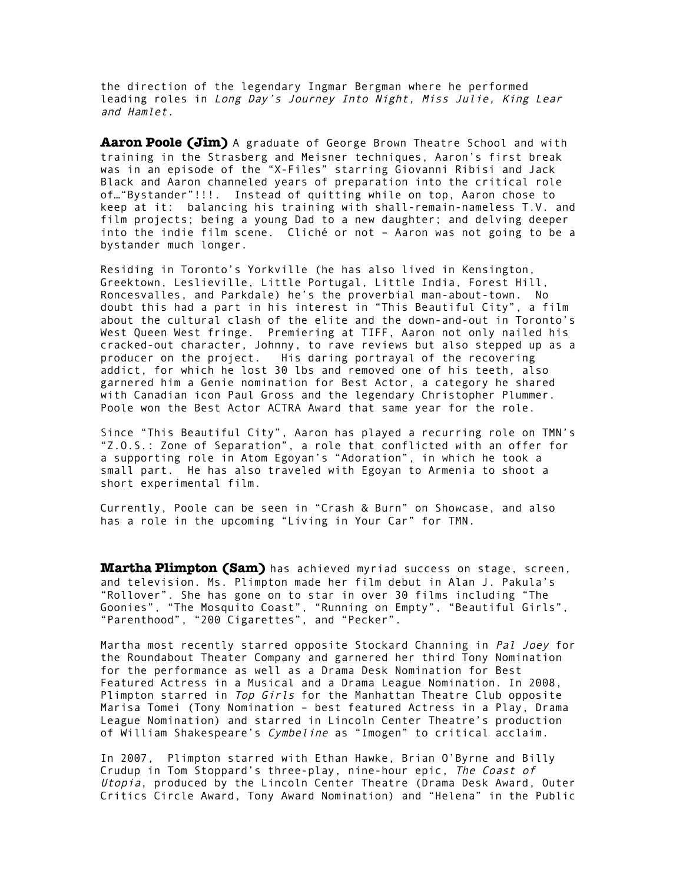the direction of the legendary Ingmar Bergman where he performed leading roles in Long Day's Journey Into Night, Miss Julie, King Lear and Hamlet.

**Aaron Poole (Jim)** A graduate of George Brown Theatre School and with training in the Strasberg and Meisner techniques, Aaron's first break was in an episode of the "X-Files" starring Giovanni Ribisi and Jack Black and Aaron channeled years of preparation into the critical role of…"Bystander"!!!. Instead of quitting while on top, Aaron chose to keep at it: balancing his training with shall-remain-nameless T.V. and film projects; being a young Dad to a new daughter; and delving deeper into the indie film scene. Cliché or not – Aaron was not going to be a bystander much longer.

Residing in Toronto's Yorkville (he has also lived in Kensington, Greektown, Leslieville, Little Portugal, Little India, Forest Hill, Roncesvalles, and Parkdale) he's the proverbial man-about-town. No doubt this had a part in his interest in "This Beautiful City", a film about the cultural clash of the elite and the down-and-out in Toronto's West Queen West fringe. Premiering at TIFF, Aaron not only nailed his cracked-out character, Johnny, to rave reviews but also stepped up as a producer on the project. His daring portrayal of the recovering addict, for which he lost 30 lbs and removed one of his teeth, also garnered him a Genie nomination for Best Actor, a category he shared with Canadian icon Paul Gross and the legendary Christopher Plummer. Poole won the Best Actor ACTRA Award that same year for the role.

Since "This Beautiful City", Aaron has played a recurring role on TMN's "Z.O.S.: Zone of Separation", a role that conflicted with an offer for a supporting role in Atom Egoyan's "Adoration", in which he took a small part. He has also traveled with Egoyan to Armenia to shoot a short experimental film.

Currently, Poole can be seen in "Crash & Burn" on Showcase, and also has a role in the upcoming "Living in Your Car" for TMN.

**Martha Plimpton (Sam)** has achieved myriad success on stage, screen, and television. Ms. Plimpton made her film debut in Alan J. Pakula's "Rollover". She has gone on to star in over 30 films including "The Goonies", "The Mosquito Coast", "Running on Empty", "Beautiful Girls", "Parenthood", "200 Cigarettes", and "Pecker".

Martha most recently starred opposite Stockard Channing in Pal Joey for the Roundabout Theater Company and garnered her third Tony Nomination for the performance as well as a Drama Desk Nomination for Best Featured Actress in a Musical and a Drama League Nomination. In 2008, Plimpton starred in Top Girls for the Manhattan Theatre Club opposite Marisa Tomei (Tony Nomination – best featured Actress in a Play, Drama League Nomination) and starred in Lincoln Center Theatre's production of William Shakespeare's Cymbeline as "Imogen" to critical acclaim.

In 2007, Plimpton starred with Ethan Hawke, Brian O'Byrne and Billy Crudup in Tom Stoppard's three-play, nine-hour epic, The Coast of Utopia, produced by the Lincoln Center Theatre (Drama Desk Award, Outer Critics Circle Award, Tony Award Nomination) and "Helena" in the Public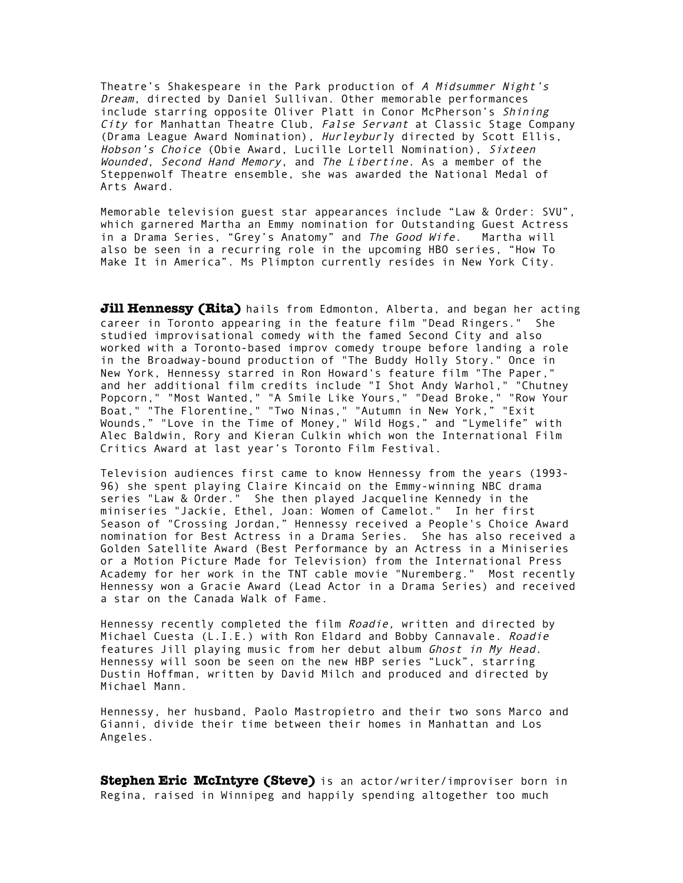Theatre's Shakespeare in the Park production of A Midsummer Night's Dream, directed by Daniel Sullivan. Other memorable performances include starring opposite Oliver Platt in Conor McPherson's Shining City for Manhattan Theatre Club, False Servant at Classic Stage Company (Drama League Award Nomination), Hurleyburly directed by Scott Ellis, Hobson's Choice (Obie Award, Lucille Lortell Nomination), Sixteen Wounded, Second Hand Memory, and The Libertine. As a member of the Steppenwolf Theatre ensemble, she was awarded the National Medal of Arts Award.

Memorable television guest star appearances include "Law & Order: SVU", which garnered Martha an Emmy nomination for Outstanding Guest Actress in a Drama Series, "Grey's Anatomy" and The Good Wife. Martha will also be seen in a recurring role in the upcoming HBO series, "How To Make It in America". Ms Plimpton currently resides in New York City.

**Jill Hennessy (Rita)** hails from Edmonton, Alberta, and began her acting career in Toronto appearing in the feature film "Dead Ringers." She studied improvisational comedy with the famed Second City and also worked with a Toronto-based improv comedy troupe before landing a role in the Broadway-bound production of "The Buddy Holly Story." Once in New York, Hennessy starred in Ron Howard's feature film "The Paper," and her additional film credits include "I Shot Andy Warhol," "Chutney Popcorn," "Most Wanted," "A Smile Like Yours," "Dead Broke," "Row Your Boat," "The Florentine," "Two Ninas," "Autumn in New York," "Exit Wounds," "Love in the Time of Money," Wild Hogs," and "Lymelife" with Alec Baldwin, Rory and Kieran Culkin which won the International Film Critics Award at last year's Toronto Film Festival.

Television audiences first came to know Hennessy from the years (1993- 96) she spent playing Claire Kincaid on the Emmy-winning NBC drama series "Law & Order." She then played Jacqueline Kennedy in the miniseries "Jackie, Ethel, Joan: Women of Camelot." In her first Season of "Crossing Jordan," Hennessy received a People's Choice Award nomination for Best Actress in a Drama Series. She has also received a Golden Satellite Award (Best Performance by an Actress in a Miniseries or a Motion Picture Made for Television) from the International Press Academy for her work in the TNT cable movie "Nuremberg." Most recently Hennessy won a Gracie Award (Lead Actor in a Drama Series) and received a star on the Canada Walk of Fame.

Hennessy recently completed the film Roadie, written and directed by Michael Cuesta (L.I.E.) with Ron Eldard and Bobby Cannavale. Roadie features Jill playing music from her debut album Ghost in My Head. Hennessy will soon be seen on the new HBP series "Luck", starring Dustin Hoffman, written by David Milch and produced and directed by Michael Mann.

Hennessy, her husband, Paolo Mastropietro and their two sons Marco and Gianni, divide their time between their homes in Manhattan and Los Angeles.

**Stephen Eric McIntyre (Steve)** is an actor/writer/improviser born in Regina, raised in Winnipeg and happily spending altogether too much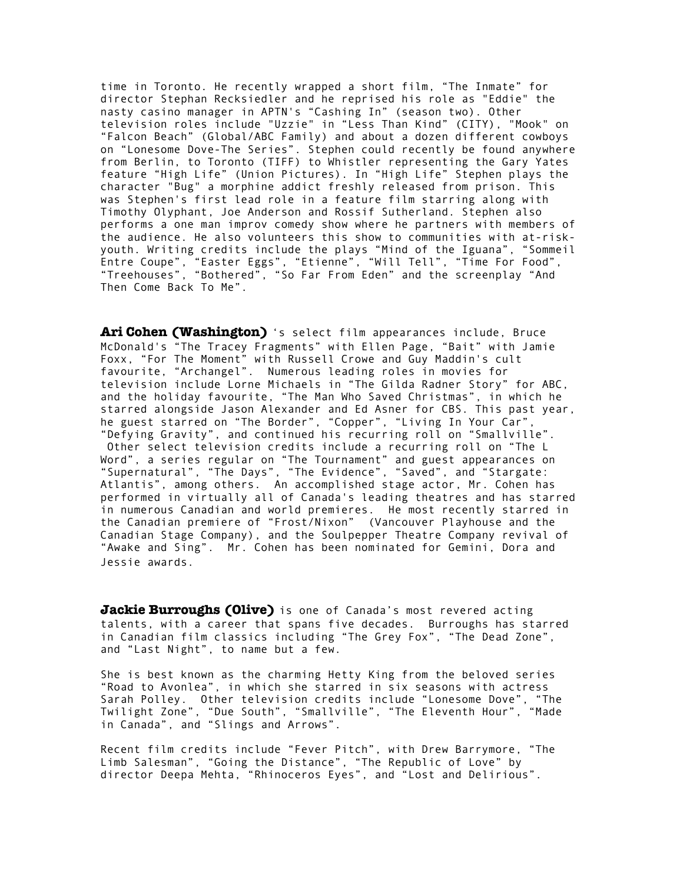time in Toronto. He recently wrapped a short film, "The Inmate" for director Stephan Recksiedler and he reprised his role as "Eddie" the nasty casino manager in APTN's "Cashing In" (season two). Other television roles include "Uzzie" in "Less Than Kind" (CITY), "Mook" on "Falcon Beach" (Global/ABC Family) and about a dozen different cowboys on "Lonesome Dove-The Series". Stephen could recently be found anywhere from Berlin, to Toronto (TIFF) to Whistler representing the Gary Yates feature "High Life" (Union Pictures). In "High Life" Stephen plays the character "Bug" a morphine addict freshly released from prison. This was Stephen's first lead role in a feature film starring along with Timothy Olyphant, Joe Anderson and Rossif Sutherland. Stephen also performs a one man improv comedy show where he partners with members of the audience. He also volunteers this show to communities with at-riskyouth. Writing credits include the plays "Mind of the Iguana", "Sommeil Entre Coupe", "Easter Eggs", "Etienne", "Will Tell", "Time For Food", "Treehouses", "Bothered", "So Far From Eden" and the screenplay "And Then Come Back To Me".

**Ari Cohen (Washington)** 's select film appearances include, Bruce McDonald's "The Tracey Fragments" with Ellen Page, "Bait" with Jamie Foxx, "For The Moment" with Russell Crowe and Guy Maddin's cult favourite, "Archangel". Numerous leading roles in movies for television include Lorne Michaels in "The Gilda Radner Story" for ABC, and the holiday favourite, "The Man Who Saved Christmas", in which he starred alongside Jason Alexander and Ed Asner for CBS. This past year, he guest starred on "The Border", "Copper", "Living In Your Car", "Defying Gravity", and continued his recurring roll on "Smallville". Other select television credits include a recurring roll on "The L

Word", a series regular on "The Tournament" and guest appearances on "Supernatural", "The Days", "The Evidence", "Saved", and "Stargate: Atlantis", among others. An accomplished stage actor, Mr. Cohen has performed in virtually all of Canada's leading theatres and has starred in numerous Canadian and world premieres. He most recently starred in the Canadian premiere of "Frost/Nixon" (Vancouver Playhouse and the Canadian Stage Company), and the Soulpepper Theatre Company revival of "Awake and Sing". Mr. Cohen has been nominated for Gemini, Dora and Jessie awards.

**Jackie Burroughs (Olive)** is one of Canada's most revered acting talents, with a career that spans five decades. Burroughs has starred in Canadian film classics including "The Grey Fox", "The Dead Zone", and "Last Night", to name but a few.

She is best known as the charming Hetty King from the beloved series "Road to Avonlea", in which she starred in six seasons with actress Sarah Polley. Other television credits include "Lonesome Dove", "The Twilight Zone", "Due South", "Smallville", "The Eleventh Hour", "Made in Canada", and "Slings and Arrows".

Recent film credits include "Fever Pitch", with Drew Barrymore, "The Limb Salesman", "Going the Distance", "The Republic of Love" by director Deepa Mehta, "Rhinoceros Eyes", and "Lost and Delirious".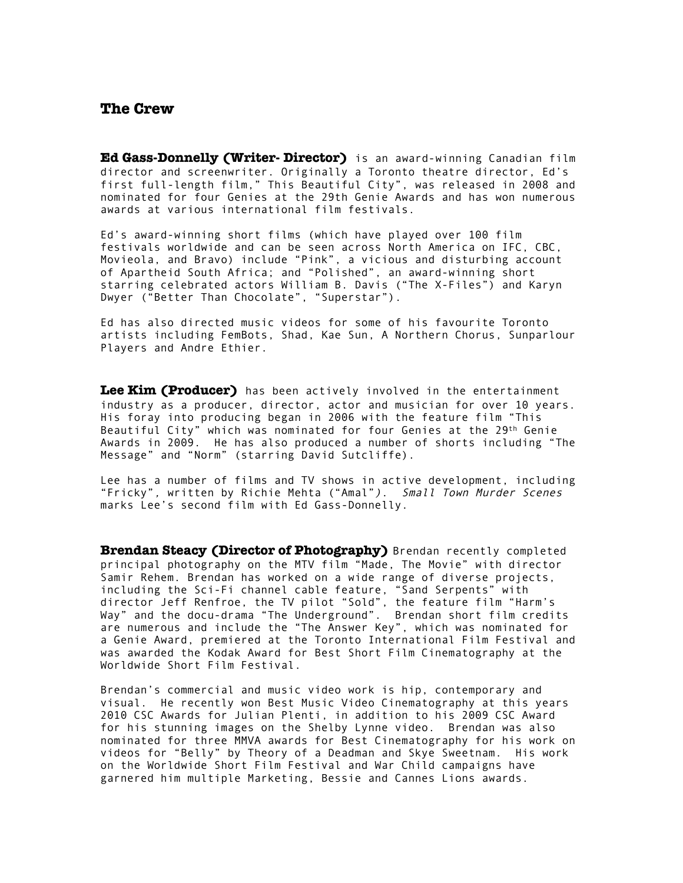### **The Crew**

**Ed Gass-Donnelly (Writer- Director)** is an award-winning Canadian film director and screenwriter. Originally a Toronto theatre director, Ed's first full-length film," This Beautiful City", was released in 2008 and nominated for four Genies at the 29th Genie Awards and has won numerous awards at various international film festivals.

Ed's award-winning short films (which have played over 100 film festivals worldwide and can be seen across North America on IFC, CBC, Movieola, and Bravo) include "Pink", a vicious and disturbing account of Apartheid South Africa; and "Polished", an award-winning short starring celebrated actors William B. Davis ("The X-Files") and Karyn Dwyer ("Better Than Chocolate", "Superstar").

Ed has also directed music videos for some of his favourite Toronto artists including FemBots, Shad, Kae Sun, A Northern Chorus, Sunparlour Players and Andre Ethier.

**Lee Kim (Producer)** has been actively involved in the entertainment industry as a producer, director, actor and musician for over 10 years. His foray into producing began in 2006 with the feature film "This Beautiful City" which was nominated for four Genies at the 29th Genie Awards in 2009. He has also produced a number of shorts including "The Message" and "Norm" (starring David Sutcliffe).

Lee has a number of films and TV shows in active development, including "Fricky", written by Richie Mehta ("Amal"). Small Town Murder Scenes marks Lee's second film with Ed Gass-Donnelly.

**Brendan Steacy (Director of Photography)** Brendan recently completed principal photography on the MTV film "Made, The Movie" with director Samir Rehem. Brendan has worked on a wide range of diverse projects, including the Sci-Fi channel cable feature, "Sand Serpents" with director Jeff Renfroe, the TV pilot "Sold", the feature film "Harm's Way" and the docu-drama "The Underground". Brendan short film credits are numerous and include the "The Answer Key", which was nominated for a Genie Award, premiered at the Toronto International Film Festival and was awarded the Kodak Award for Best Short Film Cinematography at the Worldwide Short Film Festival.

Brendan's commercial and music video work is hip, contemporary and visual. He recently won Best Music Video Cinematography at this years 2010 CSC Awards for Julian Plenti, in addition to his 2009 CSC Award for his stunning images on the Shelby Lynne video. Brendan was also nominated for three MMVA awards for Best Cinematography for his work on videos for "Belly" by Theory of a Deadman and Skye Sweetnam. His work on the Worldwide Short Film Festival and War Child campaigns have garnered him multiple Marketing, Bessie and Cannes Lions awards.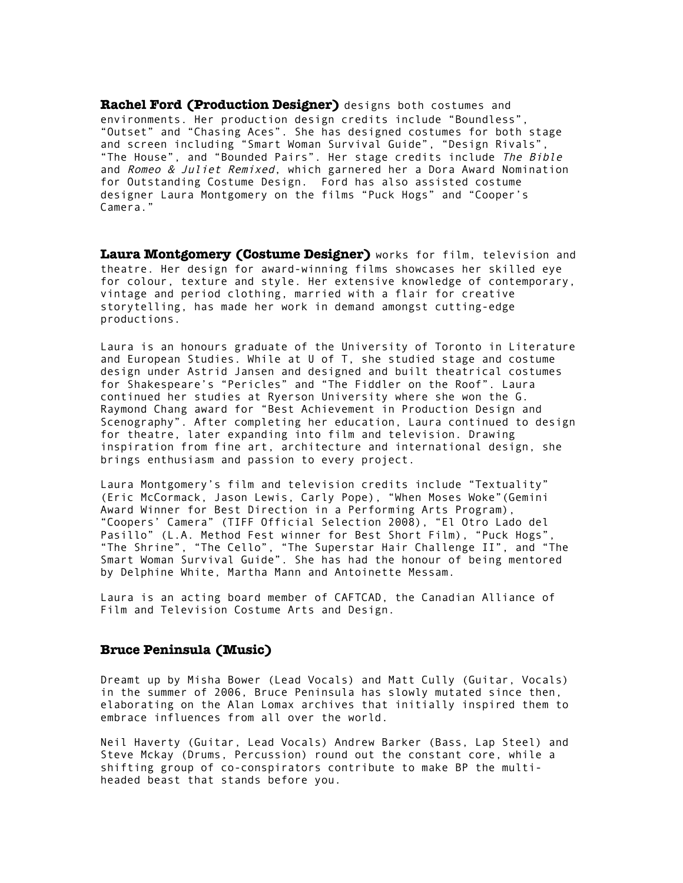**Rachel Ford (Production Designer)** designs both costumes and environments. Her production design credits include "Boundless", "Outset" and "Chasing Aces". She has designed costumes for both stage and screen including "Smart Woman Survival Guide", "Design Rivals", "The House", and "Bounded Pairs". Her stage credits include The Bible and Romeo & Juliet Remixed, which garnered her a Dora Award Nomination for Outstanding Costume Design. Ford has also assisted costume designer Laura Montgomery on the films "Puck Hogs" and "Cooper's Camera."

**Laura Montgomery (Costume Designer)** works for film, television and theatre. Her design for award-winning films showcases her skilled eye for colour, texture and style. Her extensive knowledge of contemporary, vintage and period clothing, married with a flair for creative storytelling, has made her work in demand amongst cutting-edge productions.

Laura is an honours graduate of the University of Toronto in Literature and European Studies. While at U of T, she studied stage and costume design under Astrid Jansen and designed and built theatrical costumes for Shakespeare's "Pericles" and "The Fiddler on the Roof". Laura continued her studies at Ryerson University where she won the G. Raymond Chang award for "Best Achievement in Production Design and Scenography". After completing her education, Laura continued to design for theatre, later expanding into film and television. Drawing inspiration from fine art, architecture and international design, she brings enthusiasm and passion to every project.

Laura Montgomery's film and television credits include "Textuality" (Eric McCormack, Jason Lewis, Carly Pope), "When Moses Woke"(Gemini Award Winner for Best Direction in a Performing Arts Program), "Coopers' Camera" (TIFF Official Selection 2008), "El Otro Lado del Pasillo" (L.A. Method Fest winner for Best Short Film), "Puck Hogs" "The Shrine", "The Cello", "The Superstar Hair Challenge II", and "The Smart Woman Survival Guide". She has had the honour of being mentored by Delphine White, Martha Mann and Antoinette Messam.

Laura is an acting board member of CAFTCAD, the Canadian Alliance of Film and Television Costume Arts and Design.

#### **Bruce Peninsula (Music)**

Dreamt up by Misha Bower (Lead Vocals) and Matt Cully (Guitar, Vocals) in the summer of 2006, Bruce Peninsula has slowly mutated since then, elaborating on the Alan Lomax archives that initially inspired them to embrace influences from all over the world.

Neil Haverty (Guitar, Lead Vocals) Andrew Barker (Bass, Lap Steel) and Steve Mckay (Drums, Percussion) round out the constant core, while a shifting group of co-conspirators contribute to make BP the multiheaded beast that stands before you.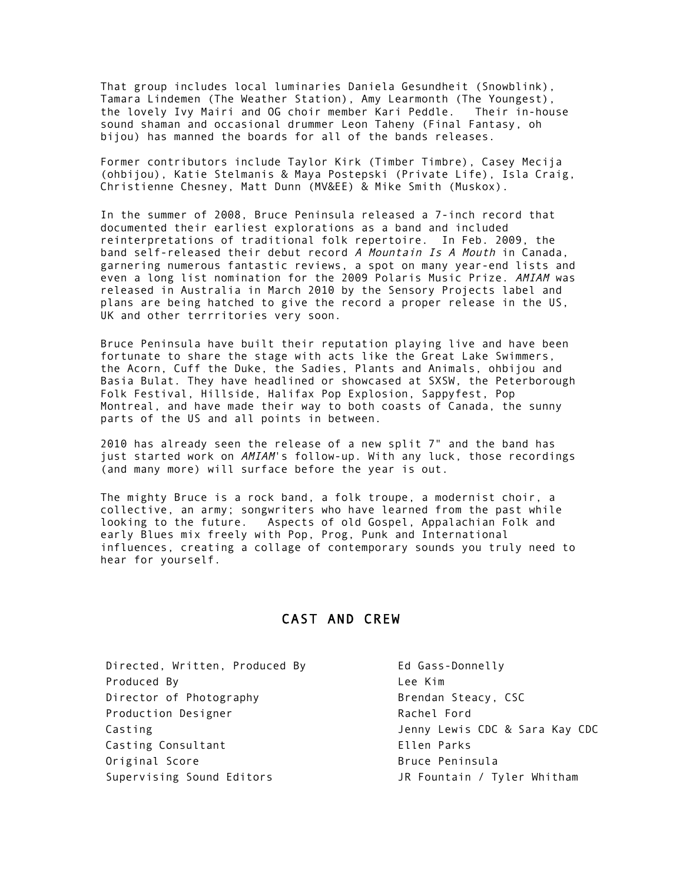That group includes local luminaries Daniela Gesundheit (Snowblink), Tamara Lindemen (The Weather Station), Amy Learmonth (The Youngest), the lovely Ivy Mairi and OG choir member Kari Peddle. Their in-house sound shaman and occasional drummer Leon Taheny (Final Fantasy, oh bijou) has manned the boards for all of the bands releases.

Former contributors include Taylor Kirk (Timber Timbre), Casey Mecija (ohbijou), Katie Stelmanis & Maya Postepski (Private Life), Isla Craig, Christienne Chesney, Matt Dunn (MV&EE) & Mike Smith (Muskox).

In the summer of 2008, Bruce Peninsula released a 7-inch record that documented their earliest explorations as a band and included reinterpretations of traditional folk repertoire. In Feb. 2009, the band self-released their debut record A Mountain Is A Mouth in Canada, garnering numerous fantastic reviews, a spot on many year-end lists and even a long list nomination for the 2009 Polaris Music Prize. AMIAM was released in Australia in March 2010 by the Sensory Projects label and plans are being hatched to give the record a proper release in the US, UK and other terrritories very soon.

Bruce Peninsula have built their reputation playing live and have been fortunate to share the stage with acts like the Great Lake Swimmers, the Acorn, Cuff the Duke, the Sadies, Plants and Animals, ohbijou and Basia Bulat. They have headlined or showcased at SXSW, the Peterborough Folk Festival, Hillside, Halifax Pop Explosion, Sappyfest, Pop Montreal, and have made their way to both coasts of Canada, the sunny parts of the US and all points in between.

2010 has already seen the release of a new split 7" and the band has just started work on AMIAM's follow-up. With any luck, those recordings (and many more) will surface before the year is out.

The mighty Bruce is a rock band, a folk troupe, a modernist choir, a collective, an army; songwriters who have learned from the past while looking to the future. Aspects of old Gospel, Appalachian Folk and early Blues mix freely with Pop, Prog, Punk and International influences, creating a collage of contemporary sounds you truly need to hear for yourself.

## CAST AND CREW

Directed, Written, Produced By Famille Business Ed Gass-Donnelly Produced By **Lee Kim** Director of Photography **Brendan Steacy, CSC** Production Designer **Rachel Ford** Casting Consultant **Ellen Parks** Original Score **Bruce Peninsula** Supervising Sound Editors **Guart Communist Communist Communist** JR Fountain / Tyler Whitham

Casting Jenny Lewis CDC & Sara Kay CDC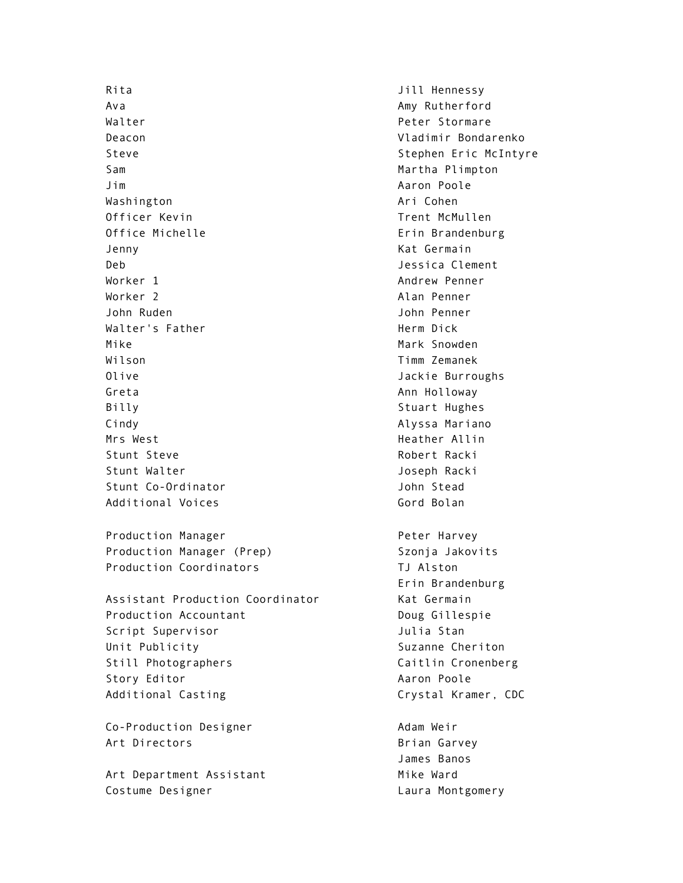Rita Jill Hennessy Ava Amy Rutherford Walter **Peter Stormare** Deacon Vladimir Bondarenko Steve Stephen Eric McIntyre Sam **Martha Plimpton** Jim Aaron Poole Washington **Ari Cohen** Ari Cohen Officer Kevin **Trent McMullen** Office Michelle **Example 20** Erin Brandenburg Jenny Kat Germain Deb Jessica Clement Worker 1 Andrew Penner Worker 2 and 2 Alan Penner John Ruden John Penner Walter's Father Network and Herm Dick Mike Mark Snowden Wilson Timm Zemanek Olive **Jackie Burroughs** Jackie Burroughs Greta **Announce Announce Announce Announce Announce Announce Announce Announce Announce Announce Announce Announce** Billy Stuart Hughes Cindy Alyssa Mariano Mrs West **Heather Allin** Stunt Steve Robert Racki Stunt Walter **Galler** Stunt Walter **Joseph Racki** Stunt Co-Ordinator Communication of the Unit of Stead Additional Voices and Solan Gord Bolan Production Manager **Peter Harvey** Production Manager (Prep) Szonja Jakovits Production Coordinators TJ Alston Assistant Production Coordinator Kat Germain Production Accountant **Doug Gillespie** Script Supervisor **Galacter Script Supervisor** And Julia Stan Unit Publicity **Suzanne Cheriton** Still Photographers Caitlin Cronenberg Story Editor **Aaron Poole** Additional Casting Casting Crystal Kramer, CDC Co-Production Designer and Adam Weir Art Directors **Brian Garvey** 

Art Department Assistant Mike Ward Costume Designer Costume Designer Costume Designer

Erin Brandenburg

James Banos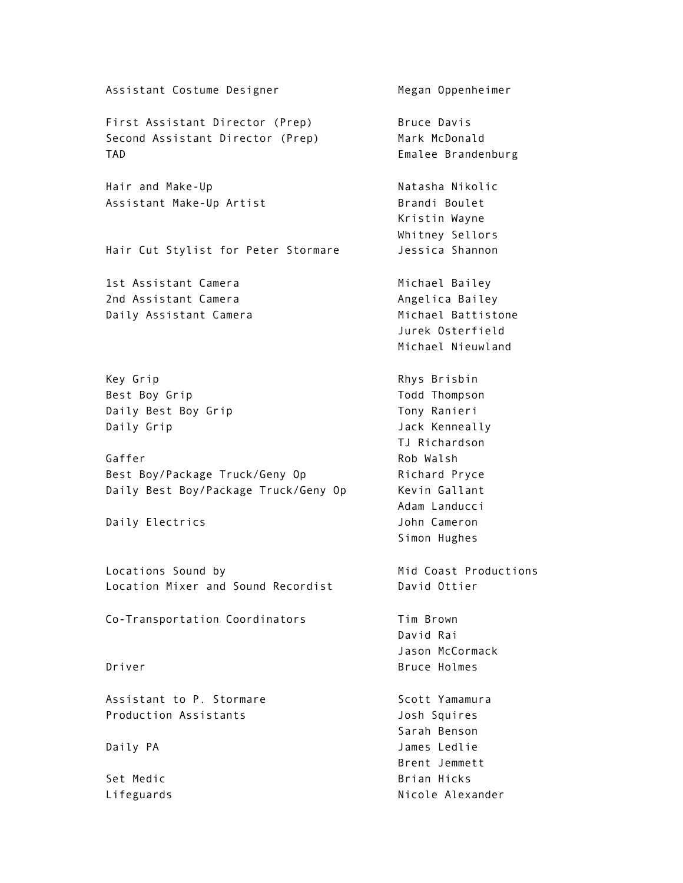Assistant Costume Designer Megan Oppenheimer First Assistant Director (Prep) Bruce Davis Second Assistant Director (Prep) Mark McDonald TAD Emalee Brandenburg Hair and Make-Up Natasha Nikolic Assistant Make-Up Artist Brandi Boulet Kristin Wayne Whitney Sellors Hair Cut Stylist for Peter Stormare Jessica Shannon 1st Assistant Camera **Michael Bailey** 2nd Assistant Camera **Angelica Bailey Angelica Bailey** Daily Assistant Camera Michael Battistone Jurek Osterfield Michael Nieuwland Key Grip **Rhys Brisbin** Best Boy Grip Todd Thompson Daily Best Boy Grip Tony Ranieri Daily Grip Contract Contract Contract Daily Dack Kenneally TJ Richardson Gaffer Rob Walsh Best Boy/Package Truck/Geny Op Richard Pryce Daily Best Boy/Package Truck/Geny Op Kevin Gallant Adam Landucci Daily Electrics and Daily Electrics and Daily Electrics and Daily Burn and Daily Burn and Daily Burn and Daily Simon Hughes Locations Sound by Mid Coast Productions Location Mixer and Sound Recordist **David Ottier** Co-Transportation Coordinators Tim Brown David Rai Jason McCormack Driver **Bruce Holmes** Assistant to P. Stormare Scott Yamamura Production Assistants Josh Squires Sarah Benson Daily PA James Ledlie Brent Jemmett Set Medic **Brian Hicks** Lifeguards **Nicole Alexander**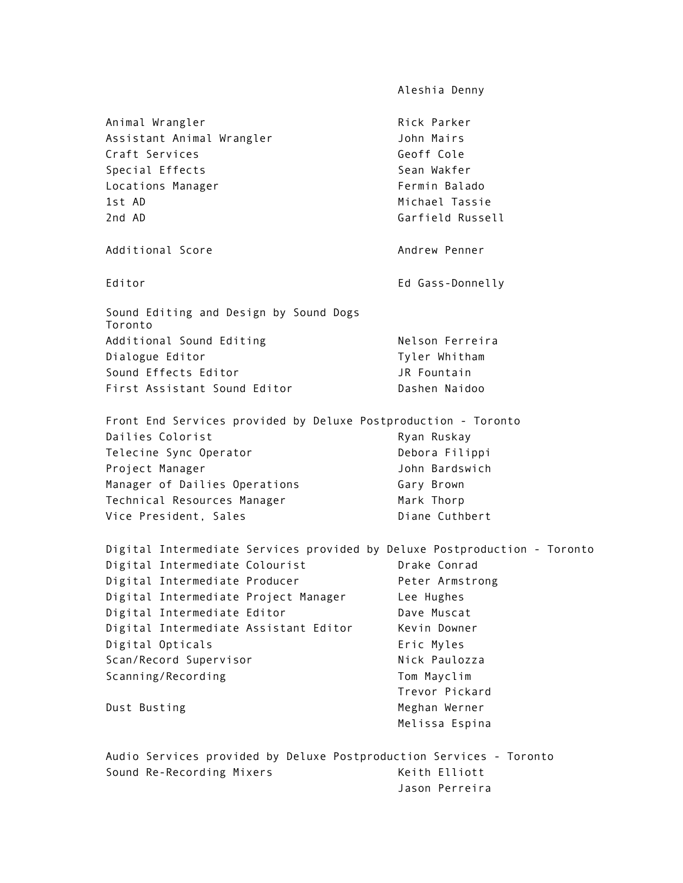Aleshia Denny Animal Wrangler **Rick Parker** Rick Parker Assistant Animal Wrangler **Gallace Contract Contract Contracts** John Mairs Craft Services Geoff Cole Special Effects Sean Wakfer Locations Manager **Fermin Balado** 1st AD Michael Tassie 2nd AD Garfield Russell Additional Score **Andrew Penner** Andrew Penner Editor **Editor** Editor Editor Editor Editor Editor Editor Editor Editor Editor Editor Editor Editor Editor Editor Editor Editor Editor Editor Editor Editor Editor Editor Editor Editor Editor Editor Editor Editor Editor Edi Sound Editing and Design by Sound Dogs Toronto Additional Sound Editing Nelson Ferreira Dialogue Editor **Tyler** Whitham Sound Effects Editor **Galacter Contain** JR Fountain First Assistant Sound Editor **Dashen Naidoo** Front End Services provided by Deluxe Postproduction - Toronto Dailies Colorist **Exercise Ryan Ruskay** Telecine Sync Operator **Debora Filippi** Project Manager **Manager** John Bardswich Manager of Dailies Operations Gary Brown Technical Resources Manager Mark Thorp Vice President, Sales<br>
Diane Cuthbert Digital Intermediate Services provided by Deluxe Postproduction - Toronto Digital Intermediate Colourist **Drake Conrad** Digital Intermediate Producer **Peter Armstrong** Digital Intermediate Project Manager Lee Hughes Digital Intermediate Editor **Dave Muscat** Digital Intermediate Assistant Editor Kevin Downer Digital Opticals **Example 20** Eric Myles Scan/Record Supervisor Nick Paulozza Scanning/Recording Tom Mayclim Trevor Pickard Dust Busting Meghan Werner Melissa Espina Audio Services provided by Deluxe Postproduction Services - Toronto Sound Re-Recording Mixers Keith Elliott Jason Perreira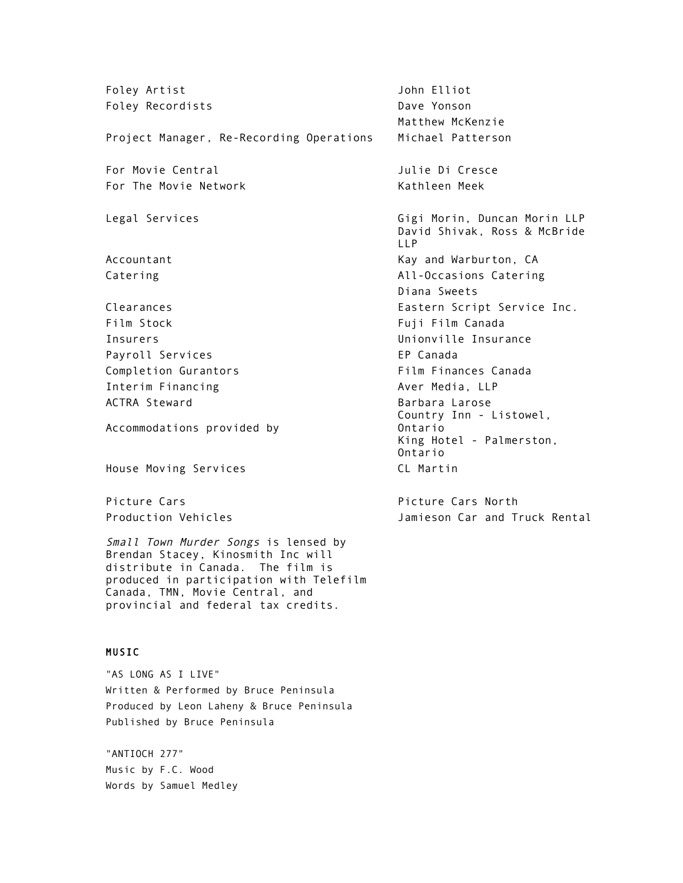Foley Artist Contract Contract Contract Contract John Elliot Foley Recordists **Dave Yonson** Matthew McKenzie Project Manager, Re-Recording Operations Michael Patterson For Movie Central Julie Di Cresce For The Movie Network Kathleen Meek Legal Services Gigi Morin, Duncan Morin LLP David Shivak, Ross & McBride LLP Accountant The Counter of the CAU and Warburton, CAU and Warburton, CAU and Warburton, CAU and Warburton, CAU Catering All-Occasions Catering Diana Sweets Clearances Eastern Script Service Inc. Film Stock Fuji Film Canada Insurers Unionville Insurance Payroll Services **EP Canada** Completion Gurantors Film Finances Canada Interim Financing and Aver Media, LLP ACTRA Steward **Barbara Larose** Barbara Larose Accommodations provided by Country Inn - Listowel, Ontario King Hotel - Palmerston, Ontario House Moving Services CL Martin Picture Cars **Picture Cars** Picture Cars North Production Vehicles Jamieson Car and Truck Rental Small Town Murder Songs is lensed by Brendan Stacey, Kinosmith Inc will distribute in Canada. The film is produced in participation with Telefilm Canada, TMN, Movie Central, and provincial and federal tax credits. MUSIC "AS LONG AS I LIVE" Written & Performed by Bruce Peninsula Produced by Leon Laheny & Bruce Peninsula

"ANTIOCH 277" Music by F.C. Wood Words by Samuel Medley

Published by Bruce Peninsula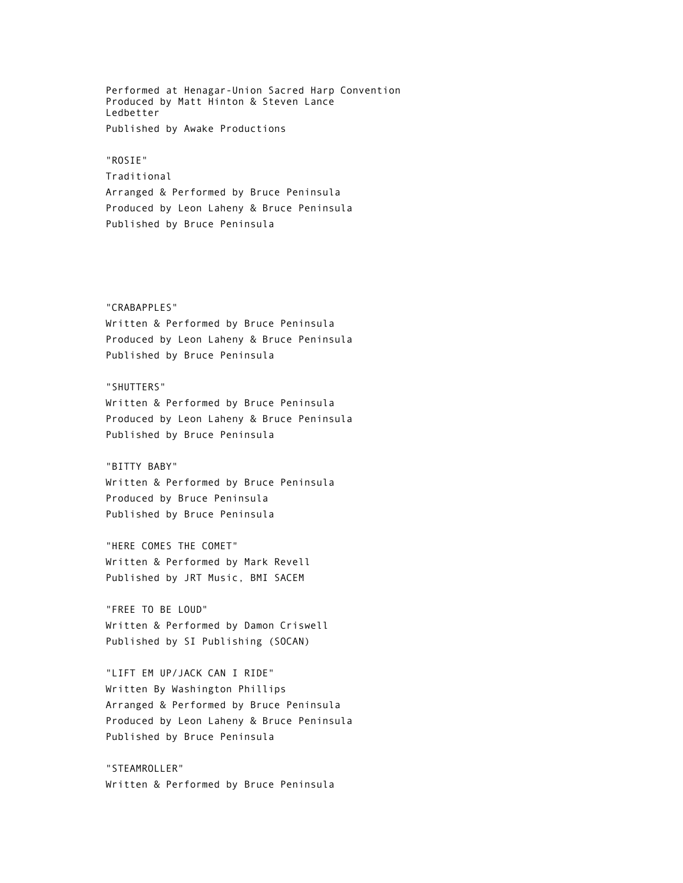Performed at Henagar-Union Sacred Harp Convention Produced by Matt Hinton & Steven Lance Ledbetter Published by Awake Productions

#### "ROSIE"

Traditional Arranged & Performed by Bruce Peninsula Produced by Leon Laheny & Bruce Peninsula Published by Bruce Peninsula

#### "CRABAPPLES"

Written & Performed by Bruce Peninsula Produced by Leon Laheny & Bruce Peninsula Published by Bruce Peninsula

#### "SHUTTERS"

Written & Performed by Bruce Peninsula Produced by Leon Laheny & Bruce Peninsula Published by Bruce Peninsula

#### "BITTY BABY"

Written & Performed by Bruce Peninsula Produced by Bruce Peninsula Published by Bruce Peninsula

"HERE COMES THE COMET" Written & Performed by Mark Revell Published by JRT Music, BMI SACEM

"FREE TO BE LOUD" Written & Performed by Damon Criswell Published by SI Publishing (SOCAN)

"LIFT EM UP/JACK CAN I RIDE" Written By Washington Phillips Arranged & Performed by Bruce Peninsula Produced by Leon Laheny & Bruce Peninsula Published by Bruce Peninsula

"STEAMROLLER" Written & Performed by Bruce Peninsula